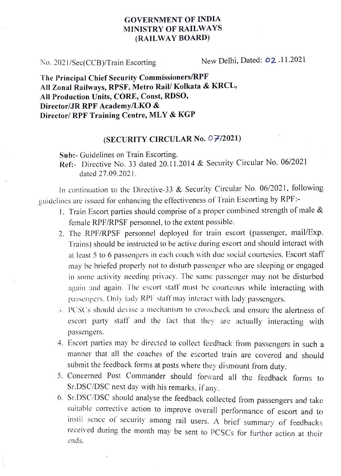## GOVERNMENT OF INDIA MINISTRY OF RAILWAYS (RAILWAY BOARD)

No. 2021/Sec(CCB)/Train Escorting New Delhi, Dated: 02.11.2021

The Principal Chief Security Commissioners/RPF All Zonal Railways, RPSF, Metro Rail/ Kolkata & KRCL, All Production Units, CORE, Const, RDSO, Director/JR RPF Academy/LKO & Director/ RPF Training Centre, MLY & KGP

## (SECURITY CIRCULAR No. 0 7/2021)

Sub:- Guidelines on Train Escorting.

Ref- Directive No. 33 dated 20.11.2014 & Security Circular No. 06/2021 dated 27.09.2021.

In continuation 1o the Directive-33 & Security Circular No. 06/2021, following guidelines are issued for enhancing the effectiveness of Train Escorting by RPF:

- 1. Train Escort parties should comprise of a proper combined strength of male  $&$ female RPF/RPSF personnel, to the extent possible.
- 2. The RPF/RPSF personnel deployed for train escort (passenger, mail/Exp. Trains) should be instructed to be active during escort and should interact with at least 5 to 6 passengers in each coach with due social eourtesies. Escort staff may be briefed properly not to disturb passenger who are sleeping or engaged in some activity needing privacy. The same passenger may not be disturbed again and again. The escort staff must be courteous while interacting with passengers. Only lady RPF staff may interact with lady passengers.
- . PCSCs should devise a mechanism to crosseheck and ensure the alertness of escort party staff' and the fact that they are actually interacting with passengers.
- 4. Escort parties may be directed to collect feedback from passengers in such a manner that all the coaches of the escorted train are covered and should submit the feedback forms at posts where they dismount from duty.
- 5. Concerned Post Commander should forward all the feedback forms to Sr.DSC/DSC next day with his remarks, if any.
- 6. Sr.DSC/DSC should analyse the feedback collected from passengers and take suitable corrective action to improve overall performance of escort and to instil sence of security among rail users. A brief summary of feedbacks received during the month may be sent to PCSCs for further action at their ends.